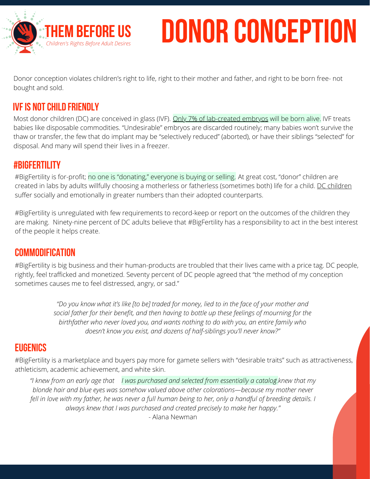

# **DONOR CONCEPTION**

Donor conception violates children's right to life, right to their mother and father, and right to be born free- not bought and sold.

## **IVF IS NOT CHILD FRIENDLY**

Most donor children (DC) are conceived in glass (IVF). <u>Only 7% of [lab-created](https://www.wearedonorconceived.com/2020-survey-top/2020-we-are-donor-conceived-survey/) embryos</u> will be born [alive.](https://www.wearedonorconceived.com/2020-survey-top/2020-we-are-donor-conceived-survey/) IVF treats babies like disposable commodities. "Undesirable" embryos are discarded routinely; many babies won't survive the thaw or transfer, the few that do implant may be "selectively reduced" (aborted), or have their siblings "selected" for disposal. And many will spend their lives in a freezer.

#### **#BigFertility**

#BigFertility is for-profit; no one is ["donating,"](https://www.wearedonorconceived.com/2020-survey-top/2020-we-are-donor-conceived-survey/) everyone is buying or selling. At great cost, "donor" children are created in labs by adults willfully choosing a motherless or fatherless (sometimes both) life for a child. DC [children](https://www.wearedonorconceived.com/uncategorized/my-daddys-name-is-donor/) suffer socially and emotionally in greater numbers than their adopted counterparts.

#BigFertility is unregulated with few requirements to record-keep or report on the outcomes of the children they are making. [Ninety-nine](https://www.wearedonorconceived.com/2020-survey-top/2020-we-are-donor-conceived-survey/) percent of DC adults believe that #BigFertility has a responsibility to act in the best interest of the people it helps create.

### **Commodification**

#BigFertility is big business and their human-products are troubled that their lives came with a price tag. DC people, rightly, feel trafficked and [monetized.](https://www.wearedonorconceived.com/2020-we-are-donor-conceived-survey/) Seventy percent of DC people agreed that "the method of my conception sometimes causes me to feel distressed, angry, or sad."

> "Do you know what it's like [to be] traded for money, lied to in the face of your mother and *social father for their benefit, and then having to bottle up these feelings of mourning for the birthfather who never loved you, and wants nothing to do with you, an entire family who doesn't know you exist, and dozens of half-siblings you'll never know?"*

### **Eugenics**

#BigFertility is a marketplace and buyers pay more for gamete sellers with "desirable traits" such as attractiveness, athleticism, academic achievement, and white skin.

"I knew from an early age that I was [purchased](https://www.wearedonorconceived.com/2020-survey-top/2020-we-are-donor-conceived-survey/) and selected from essentially a catalog.knew that my *blonde hair and blue eyes was somehow valued above other colorations—because my mother never* fell in love with my father, he was never a full human being to her, only a handful of breeding details. I *always knew that I was purchased and created precisely to make her happy."* - Alana Newman